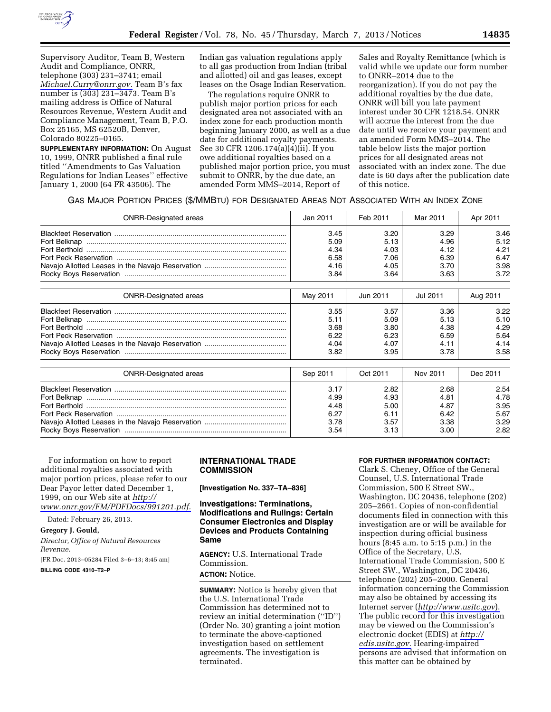

Supervisory Auditor, Team B, Western Audit and Compliance, ONRR, telephone (303) 231–3741; email *[Michael.Curry@onrr.gov.](mailto:Michael.Curry@onrr.gov)* Team B's fax number is (303) 231–3473. Team B's mailing address is Office of Natural Resources Revenue, Western Audit and Compliance Management, Team B, P.O. Box 25165, MS 62520B, Denver, Colorado 80225–0165.

**SUPPLEMENTARY INFORMATION:** On August 10, 1999, ONRR published a final rule titled ''Amendments to Gas Valuation Regulations for Indian Leases'' effective January 1, 2000 (64 FR 43506). The

Indian gas valuation regulations apply to all gas production from Indian (tribal and allotted) oil and gas leases, except leases on the Osage Indian Reservation.

The regulations require ONRR to publish major portion prices for each designated area not associated with an index zone for each production month beginning January 2000, as well as a due date for additional royalty payments. See 30 CFR 1206.174(a)(4)(ii). If you owe additional royalties based on a published major portion price, you must submit to ONRR, by the due date, an amended Form MMS–2014, Report of

Sales and Royalty Remittance (which is valid while we update our form number to ONRR–2014 due to the reorganization). If you do not pay the additional royalties by the due date, ONRR will bill you late payment interest under 30 CFR 1218.54. ONRR will accrue the interest from the due date until we receive your payment and an amended Form MMS–2014. The table below lists the major portion prices for all designated areas not associated with an index zone. The due date is 60 days after the publication date of this notice.

#### GAS MAJOR PORTION PRICES (\$/MMBTU) FOR DESIGNATED AREAS NOT ASSOCIATED WITH AN INDEX ZONE

| <b>ONRR-Designated areas</b> | Jan 2011 | Feb 2011 | Mar 2011 | Apr 2011 |
|------------------------------|----------|----------|----------|----------|
|                              | 3.45     | 3.20     | 3.29     | 3.46     |
|                              | 5.09     | 5.13     | 4.96     | 5.12     |
|                              | 4.34     | 4.03     | 4.12     | 4.21     |
|                              | 6.58     | 7.06     | 6.39     | 6.47     |
|                              | 4.16     | 4.05     | 3.70     | 3.98     |
|                              | 3.84     | 3.64     | 3.63     | 3.72     |

| <b>ONRR-Designated areas</b> | May 2011 | Jun 2011 | Jul 2011 | Aug 2011 |
|------------------------------|----------|----------|----------|----------|
|                              | 3.55     | 3.57     | 3.36     | 3.22     |
|                              | 5.11     | 5.09     | 5.13     | 5.10     |
|                              | 3.68     | 3.80     | 4.38     | 4.29     |
|                              | 6.22     | 6.23     | 6.59     | 5.64     |
|                              | 4.04     | 4.07     | 4.11     | 4.14     |
|                              | 3.82     | 3.95     | 3.78     | 3.58     |
| <b>ONRR-Designated areas</b> | Sep 2011 | Oct 2011 | Nov 2011 | Dec 2011 |
|                              | 3.17     | 2.82     | 2.68     | 2.54     |
|                              | 4.99     | 4.93     | 4.81     | 4.78     |
|                              | 4.48     | 5.00     | 4.87     | 3.95     |
|                              | 6.27     | 6.11     | 6.42     | 5.67     |
|                              | 3.78     | 3.57     | 3.38     | 3.29     |
|                              | 3.54     | 3.13     | 3.00     | 2.82     |

For information on how to report additional royalties associated with major portion prices, please refer to our Dear Payor letter dated December 1, 1999, on our Web site at *[http://](http://www.onrr.gov/FM/PDFDocs/991201.pdf)  [www.onrr.gov/FM/PDFDocs/991201.pdf.](http://www.onrr.gov/FM/PDFDocs/991201.pdf)* 

Dated: February 26, 2013.

**Gregory J. Gould,** 

*Director, Office of Natural Resources Revenue.* 

[FR Doc. 2013–05284 Filed 3–6–13; 8:45 am]

**BILLING CODE 4310–T2–P** 

# **INTERNATIONAL TRADE COMMISSION**

**[Investigation No. 337–TA–836]** 

**Investigations: Terminations, Modifications and Rulings: Certain Consumer Electronics and Display Devices and Products Containing Same** 

**AGENCY:** U.S. International Trade Commission. **ACTION:** Notice.

**SUMMARY:** Notice is hereby given that the U.S. International Trade Commission has determined not to review an initial determination (''ID'') (Order No. 30) granting a joint motion to terminate the above-captioned investigation based on settlement agreements. The investigation is terminated.

#### **FOR FURTHER INFORMATION CONTACT:**

Clark S. Cheney, Office of the General Counsel, U.S. International Trade Commission, 500 E Street SW., Washington, DC 20436, telephone (202) 205–2661. Copies of non-confidential documents filed in connection with this investigation are or will be available for inspection during official business hours (8:45 a.m. to 5:15 p.m.) in the Office of the Secretary, U.S. International Trade Commission, 500 E Street SW., Washington, DC 20436, telephone (202) 205–2000. General information concerning the Commission may also be obtained by accessing its Internet server (*<http://www.usitc.gov>*). The public record for this investigation may be viewed on the Commission's electronic docket (EDIS) at *[http://](http://edis.usitc.gov)  [edis.usitc.gov.](http://edis.usitc.gov)* Hearing-impaired persons are advised that information on this matter can be obtained by